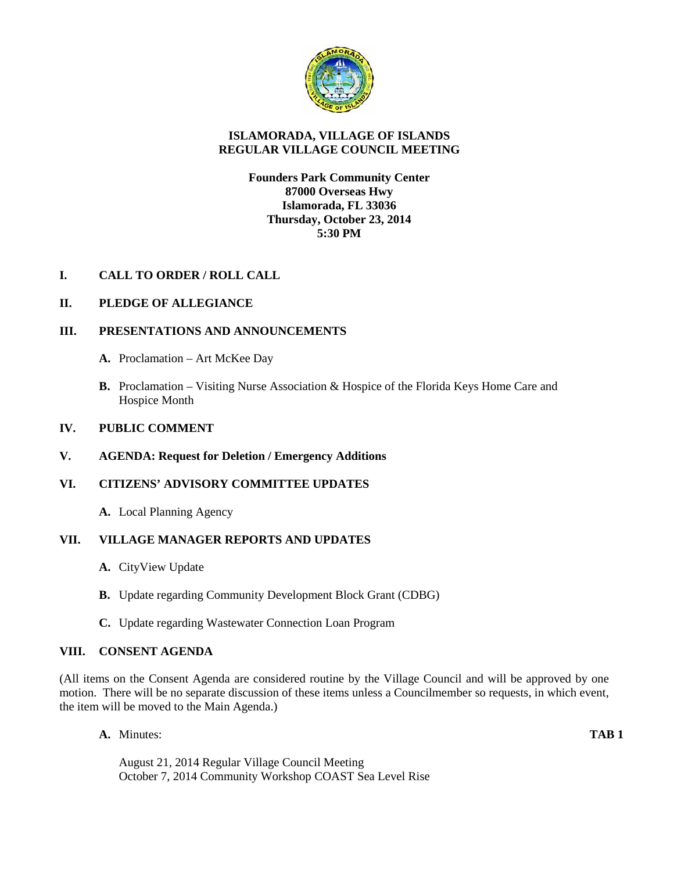

## **ISLAMORADA, VILLAGE OF ISLANDS REGULAR VILLAGE COUNCIL MEETING**

## **Founders Park Community Center 87000 Overseas Hwy Islamorada, FL 33036 Thursday, October 23, 2014 5:30 PM**

## **I. CALL TO ORDER / ROLL CALL**

## **II. PLEDGE OF ALLEGIANCE**

## **III. PRESENTATIONS AND ANNOUNCEMENTS**

- **A.** Proclamation Art McKee Day
- **B.** Proclamation Visiting Nurse Association & Hospice of the Florida Keys Home Care and Hospice Month

#### **IV. PUBLIC COMMENT**

**V. AGENDA: Request for Deletion / Emergency Additions**

#### **VI. CITIZENS' ADVISORY COMMITTEE UPDATES**

**A.** Local Planning Agency

# **VII. VILLAGE MANAGER REPORTS AND UPDATES**

- **A.** CityView Update
- **B.** Update regarding Community Development Block Grant (CDBG)
- **C.** Update regarding Wastewater Connection Loan Program

### **VIII. CONSENT AGENDA**

(All items on the Consent Agenda are considered routine by the Village Council and will be approved by one motion. There will be no separate discussion of these items unless a Councilmember so requests, in which event, the item will be moved to the Main Agenda.)

**A.** Minutes: **TAB 1**

August 21, 2014 Regular Village Council Meeting October 7, 2014 Community Workshop COAST Sea Level Rise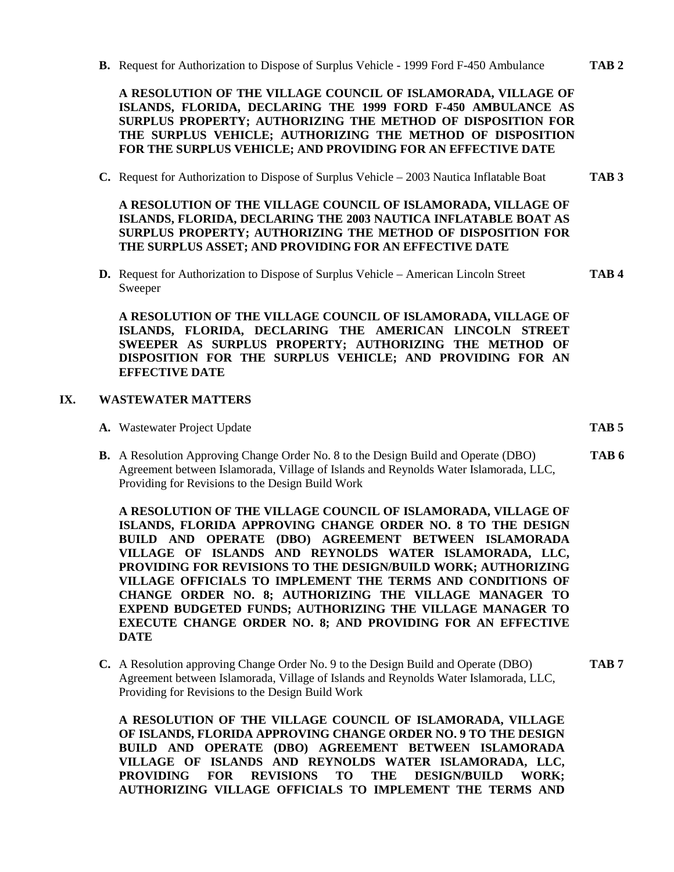**B.** Request for Authorization to Dispose of Surplus Vehicle - 1999 Ford F-450 Ambulance **TAB 2**

**A RESOLUTION OF THE VILLAGE COUNCIL OF ISLAMORADA, VILLAGE OF ISLANDS, FLORIDA, DECLARING THE 1999 FORD F-450 AMBULANCE AS SURPLUS PROPERTY; AUTHORIZING THE METHOD OF DISPOSITION FOR THE SURPLUS VEHICLE; AUTHORIZING THE METHOD OF DISPOSITION FOR THE SURPLUS VEHICLE; AND PROVIDING FOR AN EFFECTIVE DATE**

**C.** Request for Authorization to Dispose of Surplus Vehicle – 2003 Nautica Inflatable Boat **TAB 3**

**A RESOLUTION OF THE VILLAGE COUNCIL OF ISLAMORADA, VILLAGE OF ISLANDS, FLORIDA, DECLARING THE 2003 NAUTICA INFLATABLE BOAT AS SURPLUS PROPERTY; AUTHORIZING THE METHOD OF DISPOSITION FOR THE SURPLUS ASSET; AND PROVIDING FOR AN EFFECTIVE DATE**

**D.** Request for Authorization to Dispose of Surplus Vehicle – American Lincoln Street **TAB 4** Sweeper

**A RESOLUTION OF THE VILLAGE COUNCIL OF ISLAMORADA, VILLAGE OF ISLANDS, FLORIDA, DECLARING THE AMERICAN LINCOLN STREET SWEEPER AS SURPLUS PROPERTY; AUTHORIZING THE METHOD OF DISPOSITION FOR THE SURPLUS VEHICLE; AND PROVIDING FOR AN EFFECTIVE DATE**

### **IX. WASTEWATER MATTERS**

- **A.** Wastewater Project Update **TAB 5**
- **B.** A Resolution Approving Change Order No. 8 to the Design Build and Operate (DBO) **TAB 6** Agreement between Islamorada, Village of Islands and Reynolds Water Islamorada, LLC, Providing for Revisions to the Design Build Work

**A RESOLUTION OF THE VILLAGE COUNCIL OF ISLAMORADA, VILLAGE OF ISLANDS, FLORIDA APPROVING CHANGE ORDER NO. 8 TO THE DESIGN BUILD AND OPERATE (DBO) AGREEMENT BETWEEN ISLAMORADA VILLAGE OF ISLANDS AND REYNOLDS WATER ISLAMORADA, LLC, PROVIDING FOR REVISIONS TO THE DESIGN/BUILD WORK; AUTHORIZING VILLAGE OFFICIALS TO IMPLEMENT THE TERMS AND CONDITIONS OF CHANGE ORDER NO. 8; AUTHORIZING THE VILLAGE MANAGER TO EXPEND BUDGETED FUNDS; AUTHORIZING THE VILLAGE MANAGER TO EXECUTE CHANGE ORDER NO. 8; AND PROVIDING FOR AN EFFECTIVE DATE**

**C.** A Resolution approving Change Order No. 9 to the Design Build and Operate (DBO) **TAB 7** Agreement between Islamorada, Village of Islands and Reynolds Water Islamorada, LLC, Providing for Revisions to the Design Build Work

**A RESOLUTION OF THE VILLAGE COUNCIL OF ISLAMORADA, VILLAGE OF ISLANDS, FLORIDA APPROVING CHANGE ORDER NO. 9 TO THE DESIGN BUILD AND OPERATE (DBO) AGREEMENT BETWEEN ISLAMORADA VILLAGE OF ISLANDS AND REYNOLDS WATER ISLAMORADA, LLC, PROVIDING FOR REVISIONS TO THE DESIGN/BUILD WORK; AUTHORIZING VILLAGE OFFICIALS TO IMPLEMENT THE TERMS AND**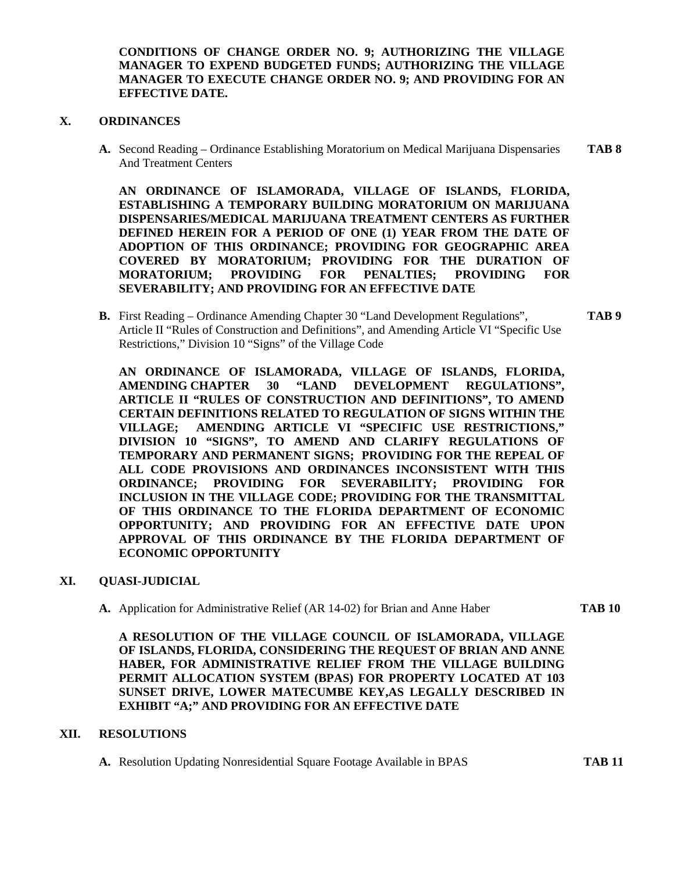**CONDITIONS OF CHANGE ORDER NO. 9; AUTHORIZING THE VILLAGE MANAGER TO EXPEND BUDGETED FUNDS; AUTHORIZING THE VILLAGE MANAGER TO EXECUTE CHANGE ORDER NO. 9; AND PROVIDING FOR AN EFFECTIVE DATE.**

### **X. ORDINANCES**

**A.** Second Reading – Ordinance Establishing Moratorium on Medical Marijuana Dispensaries **TAB 8** And Treatment Centers

**AN ORDINANCE OF ISLAMORADA, VILLAGE OF ISLANDS, FLORIDA, ESTABLISHING A TEMPORARY BUILDING MORATORIUM ON MARIJUANA DISPENSARIES/MEDICAL MARIJUANA TREATMENT CENTERS AS FURTHER DEFINED HEREIN FOR A PERIOD OF ONE (1) YEAR FROM THE DATE OF ADOPTION OF THIS ORDINANCE; PROVIDING FOR GEOGRAPHIC AREA COVERED BY MORATORIUM; PROVIDING FOR THE DURATION OF MORATORIUM; PROVIDING FOR PENALTIES; PROVIDING FOR SEVERABILITY; AND PROVIDING FOR AN EFFECTIVE DATE**

**B.** First Reading – Ordinance Amending Chapter 30 "Land Development Regulations", **TAB 9** Article II "Rules of Construction and Definitions", and Amending Article VI "Specific Use Restrictions," Division 10 "Signs" of the Village Code

**AN ORDINANCE OF ISLAMORADA, VILLAGE OF ISLANDS, FLORIDA, AMENDING CHAPTER 30 "LAND DEVELOPMENT REGULATIONS", ARTICLE II "RULES OF CONSTRUCTION AND DEFINITIONS", TO AMEND CERTAIN DEFINITIONS RELATED TO REGULATION OF SIGNS WITHIN THE VILLAGE; AMENDING ARTICLE VI "SPECIFIC USE RESTRICTIONS," DIVISION 10 "SIGNS", TO AMEND AND CLARIFY REGULATIONS OF TEMPORARY AND PERMANENT SIGNS; PROVIDING FOR THE REPEAL OF ALL CODE PROVISIONS AND ORDINANCES INCONSISTENT WITH THIS ORDINANCE; PROVIDING FOR SEVERABILITY; PROVIDING FOR INCLUSION IN THE VILLAGE CODE; PROVIDING FOR THE TRANSMITTAL OF THIS ORDINANCE TO THE FLORIDA DEPARTMENT OF ECONOMIC OPPORTUNITY; AND PROVIDING FOR AN EFFECTIVE DATE UPON APPROVAL OF THIS ORDINANCE BY THE FLORIDA DEPARTMENT OF ECONOMIC OPPORTUNITY**

#### **XI. QUASI-JUDICIAL**

**A.** Application for Administrative Relief (AR 14-02) for Brian and Anne Haber **TAB 10**

**A RESOLUTION OF THE VILLAGE COUNCIL OF ISLAMORADA, VILLAGE OF ISLANDS, FLORIDA, CONSIDERING THE REQUEST OF BRIAN AND ANNE HABER, FOR ADMINISTRATIVE RELIEF FROM THE VILLAGE BUILDING PERMIT ALLOCATION SYSTEM (BPAS) FOR PROPERTY LOCATED AT 103 SUNSET DRIVE, LOWER MATECUMBE KEY,AS LEGALLY DESCRIBED IN EXHIBIT "A;" AND PROVIDING FOR AN EFFECTIVE DATE**

#### **XII. RESOLUTIONS**

**A.** Resolution Updating Nonresidential Square Footage Available in BPAS **TAB 11**